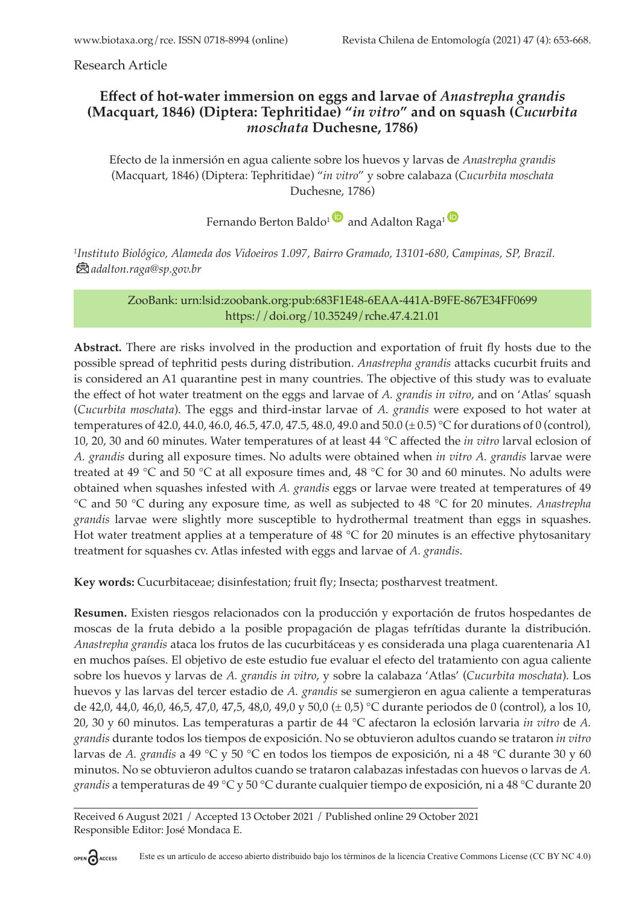Research Article

## **Effect of hot-water immersion on eggs and larvae of** *Anastrepha grandis* **(Macquart, 1846) (Diptera: Tephritidae) "***in vitro***" and on squash (***Cucurbita moschata* **Duchesne, 1786)**

Efecto de la inmersión en agua caliente sobre los huevos y larvas de *Anastrepha grandis*  (Macquart, 1846) (Diptera: Tephritidae) "*in vitro*" y sobre calabaza (*Cucurbita moschata*  Duchesne, 1786)

Fernando Berton Baldo<sup>1</sup> and Adalton Raga<sup>1</sup>

*1 Instituto Biológico, Alameda dos Vidoeiros 1.097, Bairro Gramado, 13101-680, Campinas, SP, Brazil.  [a](mailto:adalton.raga@sp.gov.br)dalton.raga@sp.gov.br*

> ZooBank: urn:lsid:zoobank.org:pub:683F1E48-6EAA-441A-B9FE-867E34FF0699 <https://doi.org/10.35249/rche.47.4.21.01>

**Abstract.** There are risks involved in the production and exportation of fruit fly hosts due to the possible spread of tephritid pests during distribution. *Anastrepha grandis* attacks cucurbit fruits and is considered an A1 quarantine pest in many countries. The objective of this study was to evaluate the effect of hot water treatment on the eggs and larvae of *A. grandis in vitro*, and on 'Atlas' squash (*Cucurbita moschata*). The eggs and third-instar larvae of *A. grandis* were exposed to hot water at temperatures of 42.0, 44.0, 46.0, 46.5, 47.0, 47.5, 48.0, 49.0 and 50.0 (± 0.5) °C for durations of 0 (control), 10, 20, 30 and 60 minutes. Water temperatures of at least 44 °C affected the *in vitro* larval eclosion of *A. grandis* during all exposure times. No adults were obtained when *in vitro A. grandis* larvae were treated at 49 °C and 50 °C at all exposure times and, 48 °C for 30 and 60 minutes. No adults were obtained when squashes infested with *A. grandis* eggs or larvae were treated at temperatures of 49 °C and 50 °C during any exposure time, as well as subjected to 48 °C for 20 minutes. *Anastrepha grandis* larvae were slightly more susceptible to hydrothermal treatment than eggs in squashes. Hot water treatment applies at a temperature of 48 °C for 20 minutes is an effective phytosanitary treatment for squashes cv. Atlas infested with eggs and larvae of *A. grandis*.

**Key words:** Cucurbitaceae; disinfestation; fruit fly; Insecta; postharvest treatment.

**Resumen.** Existen riesgos relacionados con la producción y exportación de frutos hospedantes de moscas de la fruta debido a la posible propagación de plagas tefrítidas durante la distribución. *Anastrepha grandis* ataca los frutos de las cucurbitáceas y es considerada una plaga cuarentenaria A1 en muchos países. El objetivo de este estudio fue evaluar el efecto del tratamiento con agua caliente sobre los huevos y larvas de *A. grandis in vitro*, y sobre la calabaza 'Atlas' (*Cucurbita moschata*). Los huevos y las larvas del tercer estadio de *A. grandis* se sumergieron en agua caliente a temperaturas de 42,0, 44,0, 46,0, 46,5, 47,0, 47,5, 48,0, 49,0 y 50,0 (± 0,5) °C durante periodos de 0 (control), a los 10, 20, 30 y 60 minutos. Las temperaturas a partir de 44 °C afectaron la eclosión larvaria *in vitro* de *A. grandis* durante todos los tiempos de exposición. No se obtuvieron adultos cuando se trataron *in vitro* larvas de *A. grandis* a 49 °C y 50 °C en todos los tiempos de exposición, ni a 48 °C durante 30 y 60 minutos. No se obtuvieron adultos cuando se trataron calabazas infestadas con huevos o larvas de *A. grandis* a temperaturas de 49 °C y 50 °C durante cualquier tiempo de exposición, ni a 48 °C durante 20

Received 6 August 2021 / Accepted 13 October 2021 / Published online 29 October 2021 Responsible Editor: José Mondaca E.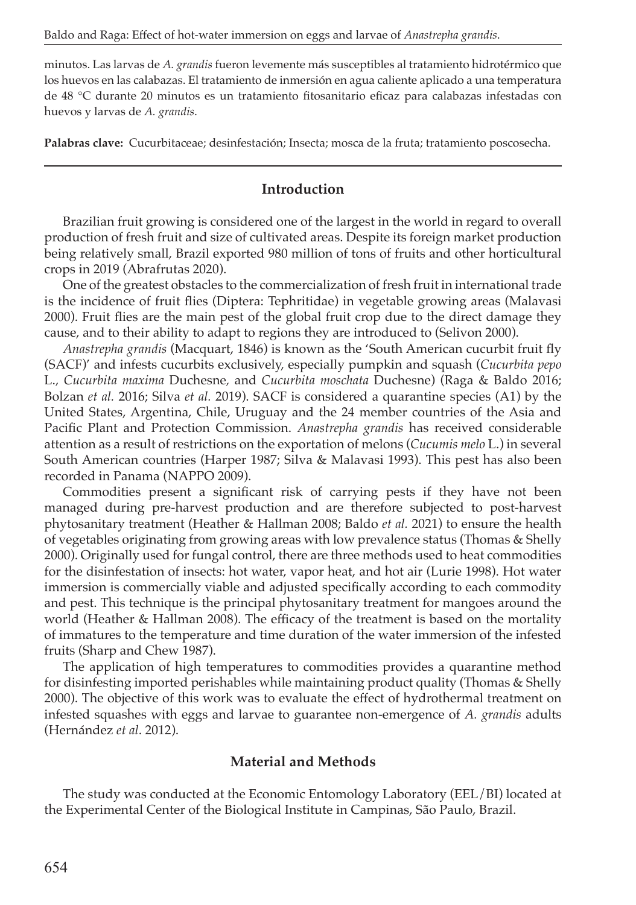minutos. Las larvas de *A. grandis* fueron levemente más susceptibles al tratamiento hidrotérmico que los huevos en las calabazas. El tratamiento de inmersión en agua caliente aplicado a una temperatura de 48 °C durante 20 minutos es un tratamiento fitosanitario eficaz para calabazas infestadas con huevos y larvas de *A. grandis*.

**Palabras clave:** Cucurbitaceae; desinfestación; Insecta; mosca de la fruta; tratamiento poscosecha.

## **Introduction**

Brazilian fruit growing is considered one of the largest in the world in regard to overall production of fresh fruit and size of cultivated areas. Despite its foreign market production being relatively small, Brazil exported 980 million of tons of fruits and other horticultural crops in 2019 (Abrafrutas 2020).

One of the greatest obstacles to the commercialization of fresh fruit in international trade is the incidence of fruit flies (Diptera: Tephritidae) in vegetable growing areas (Malavasi 2000). Fruit flies are the main pest of the global fruit crop due to the direct damage they cause, and to their ability to adapt to regions they are introduced to (Selivon 2000).

*Anastrepha grandis* (Macquart, 1846) is known as the 'South American cucurbit fruit fly (SACF)' and infests cucurbits exclusively, especially pumpkin and squash (*Cucurbita pepo*  L.*, Cucurbita maxima* Duchesne*,* and *Cucurbita moschata* Duchesne) (Raga & Baldo 2016; Bolzan *et al.* 2016; Silva *et al.* 2019). SACF is considered a quarantine species (A1) by the United States, Argentina, Chile, Uruguay and the 24 member countries of the Asia and Pacific Plant and Protection Commission. *Anastrepha grandis* has received considerable attention as a result of restrictions on the exportation of melons (*Cucumis melo* L.) in several South American countries (Harper 1987; Silva & Malavasi 1993). This pest has also been recorded in Panama (NAPPO 2009).

Commodities present a significant risk of carrying pests if they have not been managed during pre-harvest production and are therefore subjected to post-harvest phytosanitary treatment (Heather & Hallman 2008; Baldo *et al.* 2021) to ensure the health of vegetables originating from growing areas with low prevalence status (Thomas & Shelly 2000). Originally used for fungal control, there are three methods used to heat commodities for the disinfestation of insects: hot water, vapor heat, and hot air (Lurie 1998). Hot water immersion is commercially viable and adjusted specifically according to each commodity and pest. This technique is the principal phytosanitary treatment for mangoes around the world (Heather & Hallman 2008). The efficacy of the treatment is based on the mortality of immatures to the temperature and time duration of the water immersion of the infested fruits (Sharp and Chew 1987).

The application of high temperatures to commodities provides a quarantine method for disinfesting imported perishables while maintaining product quality (Thomas & Shelly 2000). The objective of this work was to evaluate the effect of hydrothermal treatment on infested squashes with eggs and larvae to guarantee non-emergence of *A. grandis* adults (Hernández *et al*. 2012).

## **Material and Methods**

The study was conducted at the Economic Entomology Laboratory (EEL/BI) located at the Experimental Center of the Biological Institute in Campinas, São Paulo, Brazil.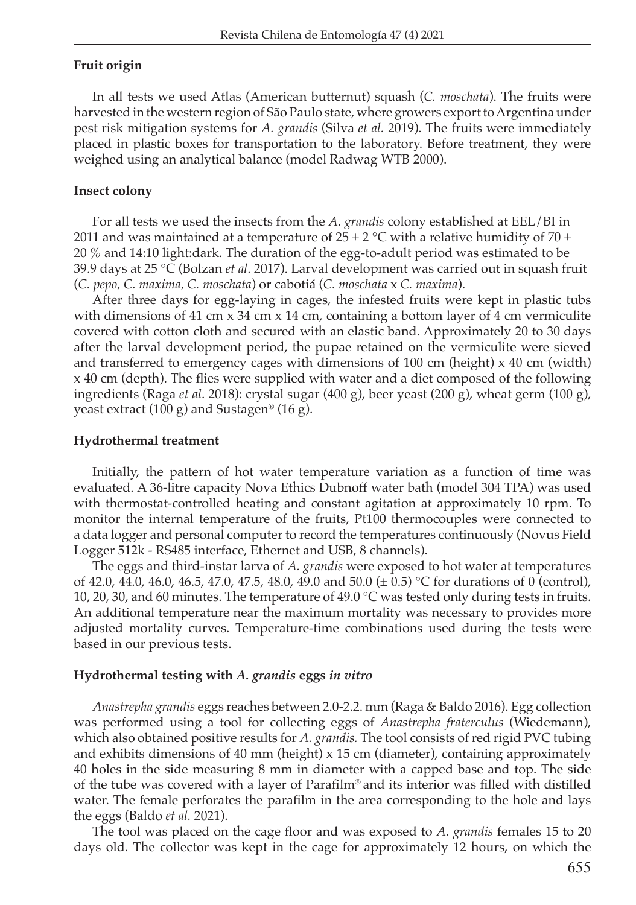## **Fruit origin**

In all tests we used Atlas (American butternut) squash (*C. moschata*). The fruits were harvested in the western region of São Paulo state, where growers export to Argentina under pest risk mitigation systems for *A. grandis* (Silva *et al.* 2019). The fruits were immediately placed in plastic boxes for transportation to the laboratory. Before treatment, they were weighed using an analytical balance (model Radwag WTB 2000).

## **Insect colony**

For all tests we used the insects from the *A. grandis* colony established at EEL/BI in 2011 and was maintained at a temperature of 25  $\pm$  2 °C with a relative humidity of 70  $\pm$ 20 % and 14:10 light:dark. The duration of the egg-to-adult period was estimated to be 39.9 days at 25 °C (Bolzan *et al*. 2017). Larval development was carried out in squash fruit (*C. pepo, C. maxima, C. moschata*) or cabotiá (*C. moschata* x *C. maxima*).

After three days for egg-laying in cages, the infested fruits were kept in plastic tubs with dimensions of 41 cm  $\times$  34 cm  $\times$  14 cm, containing a bottom layer of 4 cm vermiculite covered with cotton cloth and secured with an elastic band. Approximately 20 to 30 days after the larval development period, the pupae retained on the vermiculite were sieved and transferred to emergency cages with dimensions of 100 cm (height)  $\times$  40 cm (width) x 40 cm (depth). The flies were supplied with water and a diet composed of the following ingredients (Raga *et al*. 2018): crystal sugar (400 g), beer yeast (200 g), wheat germ (100 g), yeast extract  $(100 \text{ g})$  and Sustagen<sup>®</sup>  $(16 \text{ g})$ .

## **Hydrothermal treatment**

Initially, the pattern of hot water temperature variation as a function of time was evaluated. A 36-litre capacity Nova Ethics Dubnoff water bath (model 304 TPA) was used with thermostat-controlled heating and constant agitation at approximately 10 rpm. To monitor the internal temperature of the fruits, Pt100 thermocouples were connected to a data logger and personal computer to record the temperatures continuously (Novus Field Logger 512k - RS485 interface, Ethernet and USB, 8 channels).

The eggs and third-instar larva of *A. grandis* were exposed to hot water at temperatures of 42.0, 44.0, 46.0, 46.5, 47.0, 47.5, 48.0, 49.0 and 50.0 ( $\pm$  0.5) °C for durations of 0 (control), 10, 20, 30, and 60 minutes. The temperature of  $49.0 \degree C$  was tested only during tests in fruits. An additional temperature near the maximum mortality was necessary to provides more adjusted mortality curves. Temperature-time combinations used during the tests were based in our previous tests.

## **Hydrothermal testing with** *A. grandis* **eggs** *in vitro*

*Anastrepha grandis* eggs reaches between 2.0-2.2. mm (Raga & Baldo 2016). Egg collection was performed using a tool for collecting eggs of *Anastrepha fraterculus* (Wiedemann), which also obtained positive results for *A. grandis.* The tool consists of red rigid PVC tubing and exhibits dimensions of 40 mm (height)  $\times$  15 cm (diameter), containing approximately 40 holes in the side measuring 8 mm in diameter with a capped base and top. The side of the tube was covered with a layer of Parafilm® and its interior was filled with distilled water. The female perforates the parafilm in the area corresponding to the hole and lays the eggs (Baldo *et al.* 2021).

The tool was placed on the cage floor and was exposed to *A. grandis* females 15 to 20 days old. The collector was kept in the cage for approximately 12 hours, on which the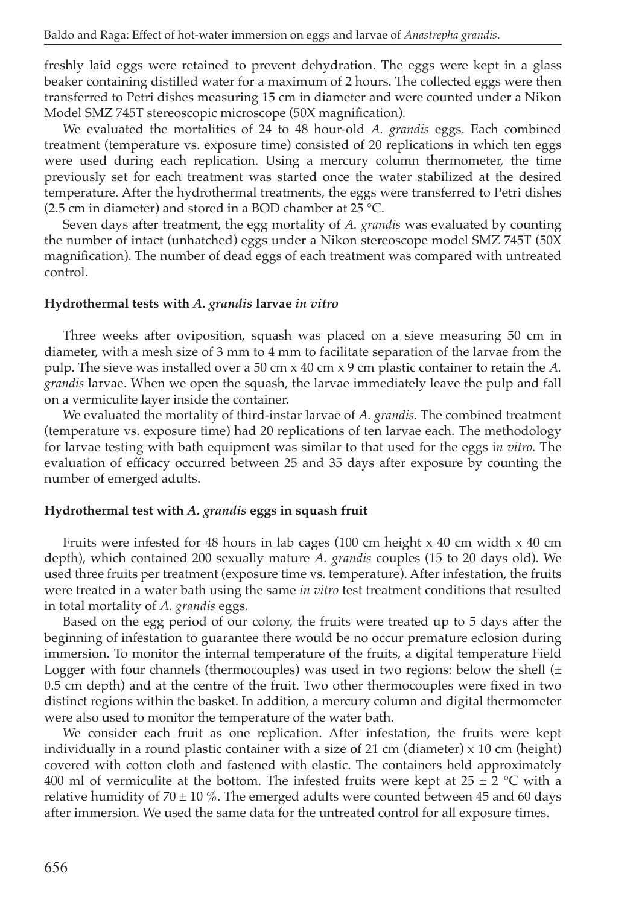freshly laid eggs were retained to prevent dehydration. The eggs were kept in a glass beaker containing distilled water for a maximum of 2 hours. The collected eggs were then transferred to Petri dishes measuring 15 cm in diameter and were counted under a Nikon Model SMZ 745T stereoscopic microscope (50X magnification).

We evaluated the mortalities of 24 to 48 hour-old *A. grandis* eggs. Each combined treatment (temperature vs. exposure time) consisted of 20 replications in which ten eggs were used during each replication. Using a mercury column thermometer, the time previously set for each treatment was started once the water stabilized at the desired temperature. After the hydrothermal treatments, the eggs were transferred to Petri dishes (2.5 cm in diameter) and stored in a BOD chamber at 25 °C.

Seven days after treatment, the egg mortality of *A. grandis* was evaluated by counting the number of intact (unhatched) eggs under a Nikon stereoscope model SMZ 745T (50X magnification). The number of dead eggs of each treatment was compared with untreated control.

## **Hydrothermal tests with** *A. grandis* **larvae** *in vitro*

Three weeks after oviposition, squash was placed on a sieve measuring 50 cm in diameter, with a mesh size of 3 mm to 4 mm to facilitate separation of the larvae from the pulp. The sieve was installed over a 50 cm x 40 cm x 9 cm plastic container to retain the *A. grandis* larvae. When we open the squash, the larvae immediately leave the pulp and fall on a vermiculite layer inside the container.

We evaluated the mortality of third-instar larvae of *A. grandis.* The combined treatment (temperature vs. exposure time) had 20 replications of ten larvae each. The methodology for larvae testing with bath equipment was similar to that used for the eggs i*n vitro.* The evaluation of efficacy occurred between 25 and 35 days after exposure by counting the number of emerged adults.

## **Hydrothermal test with** *A. grandis* **eggs in squash fruit**

Fruits were infested for 48 hours in lab cages (100 cm height  $x$  40 cm width  $x$  40 cm depth), which contained 200 sexually mature *A. grandis* couples (15 to 20 days old). We used three fruits per treatment (exposure time vs. temperature). After infestation, the fruits were treated in a water bath using the same *in vitro* test treatment conditions that resulted in total mortality of *A. grandis* eggs*.*

Based on the egg period of our colony, the fruits were treated up to 5 days after the beginning of infestation to guarantee there would be no occur premature eclosion during immersion. To monitor the internal temperature of the fruits, a digital temperature Field Logger with four channels (thermocouples) was used in two regions: below the shell  $(\pm)$ 0.5 cm depth) and at the centre of the fruit. Two other thermocouples were fixed in two distinct regions within the basket. In addition, a mercury column and digital thermometer were also used to monitor the temperature of the water bath.

We consider each fruit as one replication. After infestation, the fruits were kept individually in a round plastic container with a size of 21 cm (diameter)  $\times$  10 cm (height) covered with cotton cloth and fastened with elastic. The containers held approximately 400 ml of vermiculite at the bottom. The infested fruits were kept at  $25 \pm 2$  °C with a relative humidity of  $70 \pm 10\%$ . The emerged adults were counted between 45 and 60 days after immersion. We used the same data for the untreated control for all exposure times.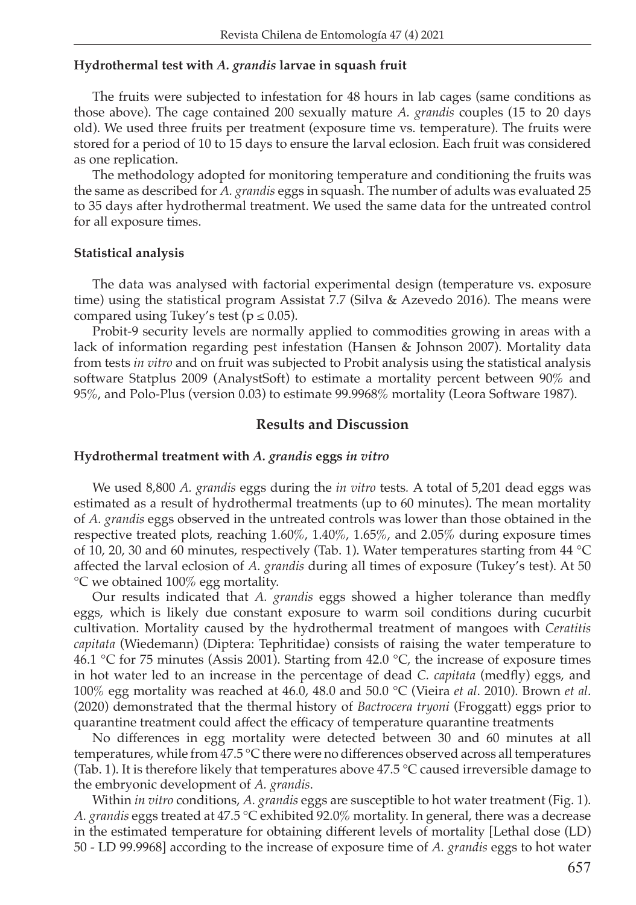### **Hydrothermal test with** *A. grandis* **larvae in squash fruit**

The fruits were subjected to infestation for 48 hours in lab cages (same conditions as those above). The cage contained 200 sexually mature *A. grandis* couples (15 to 20 days old). We used three fruits per treatment (exposure time vs. temperature). The fruits were stored for a period of 10 to 15 days to ensure the larval eclosion. Each fruit was considered as one replication.

The methodology adopted for monitoring temperature and conditioning the fruits was the same as described for *A. grandis* eggs in squash. The number of adults was evaluated 25 to 35 days after hydrothermal treatment. We used the same data for the untreated control for all exposure times.

#### **Statistical analysis**

The data was analysed with factorial experimental design (temperature vs. exposure time) using the statistical program Assistat 7.7 (Silva  $\&$  Azevedo 2016). The means were compared using Tukey's test ( $p \le 0.05$ ).

Probit-9 security levels are normally applied to commodities growing in areas with a lack of information regarding pest infestation (Hansen & Johnson 2007). Mortality data from tests *in vitro* and on fruit was subjected to Probit analysis using the statistical analysis software Statplus 2009 (AnalystSoft) to estimate a mortality percent between 90% and 95%, and Polo-Plus (version 0.03) to estimate 99.9968% mortality (Leora Software 1987).

### **Results and Discussion**

## **Hydrothermal treatment with** *A. grandis* **eggs** *in vitro*

We used 8,800 *A. grandis* eggs during the *in vitro* tests*.* A total of 5,201 dead eggs was estimated as a result of hydrothermal treatments (up to 60 minutes). The mean mortality of *A. grandis* eggs observed in the untreated controls was lower than those obtained in the respective treated plots, reaching 1.60%, 1.40%, 1.65%, and 2.05% during exposure times of 10, 20, 30 and 60 minutes, respectively (Tab. 1). Water temperatures starting from 44 °C affected the larval eclosion of *A. grandis* during all times of exposure (Tukey's test). At 50 °C we obtained 100% egg mortality.

Our results indicated that *A. grandis* eggs showed a higher tolerance than medfly eggs, which is likely due constant exposure to warm soil conditions during cucurbit cultivation. Mortality caused by the hydrothermal treatment of mangoes with *Ceratitis capitata* (Wiedemann) (Diptera: Tephritidae) consists of raising the water temperature to 46.1 °C for 75 minutes (Assis 2001). Starting from 42.0 °C, the increase of exposure times in hot water led to an increase in the percentage of dead *C. capitata* (medfly) eggs, and 100% egg mortality was reached at 46.0, 48.0 and 50.0 °C (Vieira *et al*. 2010). Brown *et al*. (2020) demonstrated that the thermal history of *Bactrocera tryoni* (Froggatt) eggs prior to quarantine treatment could affect the efficacy of temperature quarantine treatments

No differences in egg mortality were detected between 30 and 60 minutes at all temperatures, while from 47.5 °C there were no differences observed across all temperatures (Tab. 1). It is therefore likely that temperatures above  $47.5$  °C caused irreversible damage to the embryonic development of *A. grandis*.

Within *in vitro* conditions, *A. grandis* eggs are susceptible to hot water treatment (Fig. 1). *A. grandis* eggs treated at 47.5 °C exhibited 92.0% mortality. In general, there was a decrease in the estimated temperature for obtaining different levels of mortality [Lethal dose (LD) 50 - LD 99.9968] according to the increase of exposure time of *A. grandis* eggs to hot water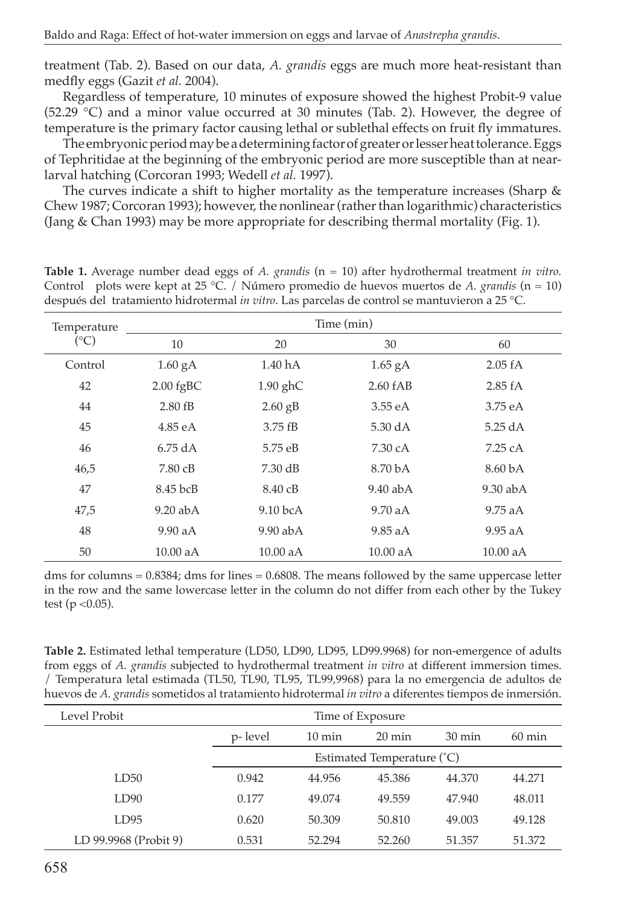treatment (Tab. 2). Based on our data, *A. grandis* eggs are much more heat-resistant than medfly eggs (Gazit *et al.* 2004).

Regardless of temperature, 10 minutes of exposure showed the highest Probit-9 value  $(52.29 \degree C)$  and a minor value occurred at 30 minutes (Tab. 2). However, the degree of temperature is the primary factor causing lethal or sublethal effects on fruit fly immatures.

The embryonic period may be a determining factor of greater or lesser heat tolerance.Eggs of Tephritidae at the beginning of the embryonic period are more susceptible than at nearlarval hatching (Corcoran 1993; Wedell *et al.* 1997).

The curves indicate a shift to higher mortality as the temperature increases (Sharp & Chew 1987; Corcoran 1993); however, the nonlinear (rather than logarithmic) characteristics (Jang & Chan 1993) may be more appropriate for describing thermal mortality (Fig. 1).

| Temperature   | Time (min)        |                    |              |                    |  |  |
|---------------|-------------------|--------------------|--------------|--------------------|--|--|
| $(^{\circ}C)$ | 10                | 20                 | 30           | 60                 |  |  |
| Control       | $1.60\text{ gA}$  | 1.40 <sub>hA</sub> | $1.65$ gA    | 2.05 fA            |  |  |
| 42            | $2.00$ fgBC       | $1.90$ ghC         | $2.60$ $fAB$ | 2.85 fA            |  |  |
| 44            | $2.80$ fB         | $2.60$ gB          | 3.55 eA      | 3.75eA             |  |  |
| 45            | 4.85 eA           | $3.75$ fB          | 5.30 dA      | $5.25 \text{ dA}$  |  |  |
| 46            | $6.75 \text{ dA}$ | 5.75 eB            | 7.30 cA      | 7.25cA             |  |  |
| 46,5          | 7.80 cB           | $7.30 \text{ dB}$  | 8.70 bA      | 8.60 <sub>bA</sub> |  |  |
| 47            | 8.45 bcB          | $8.40 \text{ }cB$  | $9.40$ abA   | $9.30$ abA         |  |  |
| 47,5          | $9.20$ ab A       | $9.10$ bcA         | 9.70aA       | 9.75aA             |  |  |
| 48            | 9.90 aA           | $9.90$ abA         | 9.85aA       | 9.95aA             |  |  |
| 50            | 10.00 aA          | 10.00 aA           | 10.00 aA     | 10.00 aA           |  |  |

**Table 1.** Average number dead eggs of *A. grandis* (n = 10) after hydrothermal treatment *in vitro.*  Control plots were kept at 25 °C. / Número promedio de huevos muertos de *A. grandis* (n = 10) después del tratamiento hidrotermal *in vitro*. Las parcelas de control se mantuvieron a 25 °C.

dms for columns = 0.8384; dms for lines = 0.6808. The means followed by the same uppercase letter in the row and the same lowercase letter in the column do not differ from each other by the Tukey test ( $p < 0.05$ ).

**Table 2.** Estimated lethal temperature (LD50, LD90, LD95, LD99.9968) for non-emergence of adults from eggs of *A. grandis* subjected to hydrothermal treatment *in vitro* at different immersion times. / Temperatura letal estimada (TL50, TL90, TL95, TL99,9968) para la no emergencia de adultos de huevos de *A. grandis* sometidos al tratamiento hidrotermal *in vitro* a diferentes tiempos de inmersión.

| Level Probit          | Time of Exposure           |                  |                  |                  |                  |  |
|-----------------------|----------------------------|------------------|------------------|------------------|------------------|--|
|                       | p-level                    | $10 \text{ min}$ | $20 \text{ min}$ | $30 \text{ min}$ | $60 \text{ min}$ |  |
|                       | Estimated Temperature (°C) |                  |                  |                  |                  |  |
| LD50                  | 0.942                      | 44.956           | 45.386           | 44.370           | 44.271           |  |
| LD90                  | 0.177                      | 49.074           | 49.559           | 47.940           | 48.011           |  |
| LD95                  | 0.620                      | 50.309           | 50.810           | 49.003           | 49.128           |  |
| LD 99.9968 (Probit 9) | 0.531                      | 52.294           | 52.260           | 51.357           | 51.372           |  |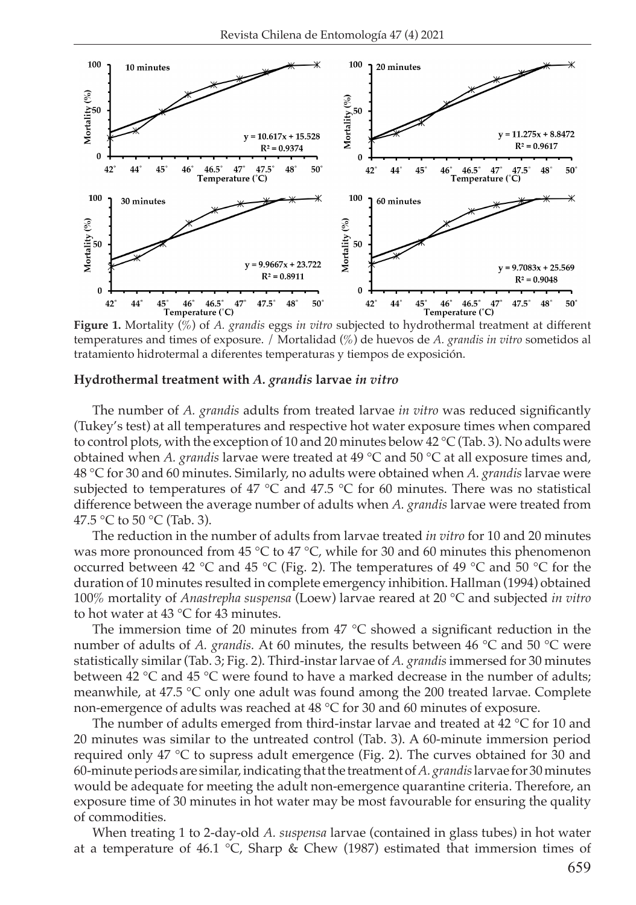

**Figure 1.** Mortality (%) of *A. grandis* eggs *in vitro* subjected to hydrothermal treatment at different temperatures and times of exposure. / Mortalidad (%) de huevos de *A. grandis in vitro* sometidos al tratamiento hidrotermal a diferentes temperaturas y tiempos de exposición.

### **Hydrothermal treatment with** *A. grandis* **larvae** *in vitro*

The number of *A. grandis* adults from treated larvae *in vitro* was reduced significantly (Tukey's test) at all temperatures and respective hot water exposure times when compared to control plots, with the exception of 10 and 20 minutes below  $42 \degree C$  (Tab. 3). No adults were obtained when *A. grandis* larvae were treated at 49 °C and 50 °C at all exposure times and, 48 °C for 30 and 60 minutes. Similarly, no adults were obtained when *A. grandis* larvae were subjected to temperatures of 47  $\degree$ C and 47.5  $\degree$ C for 60 minutes. There was no statistical difference between the average number of adults when *A. grandis* larvae were treated from 47.5 °C to 50 °C (Tab. 3).

The reduction in the number of adults from larvae treated *in vitro* for 10 and 20 minutes was more pronounced from 45 °C to 47 °C, while for 30 and 60 minutes this phenomenon occurred between 42 °C and 45 °C (Fig. 2). The temperatures of 49 °C and 50 °C for the duration of 10 minutes resulted in complete emergency inhibition. Hallman (1994) obtained 100% mortality of *Anastrepha suspensa* (Loew) larvae reared at 20 °C and subjected *in vitro* to hot water at 43 °C for 43 minutes.

The immersion time of 20 minutes from 47  $\degree$ C showed a significant reduction in the number of adults of *A. grandis.* At 60 minutes, the results between 46 °C and 50 °C were statistically similar (Tab. 3; Fig. 2). Third-instar larvae of *A. grandis*immersed for 30 minutes between 42 °C and 45 °C were found to have a marked decrease in the number of adults; meanwhile, at  $47.5 \degree C$  only one adult was found among the 200 treated larvae. Complete non-emergence of adults was reached at 48 °C for 30 and 60 minutes of exposure.

The number of adults emerged from third-instar larvae and treated at 42 °C for 10 and 20 minutes was similar to the untreated control (Tab. 3). A 60-minute immersion period required only 47 °C to supress adult emergence (Fig. 2). The curves obtained for 30 and 60-minute periods are similar, indicating that the treatment of*A. grandis*larvae for 30 minutes would be adequate for meeting the adult non-emergence quarantine criteria. Therefore, an exposure time of 30 minutes in hot water may be most favourable for ensuring the quality of commodities.

When treating 1 to 2-day-old *A. suspensa* larvae (contained in glass tubes) in hot water at a temperature of 46.1 °C, Sharp & Chew (1987) estimated that immersion times of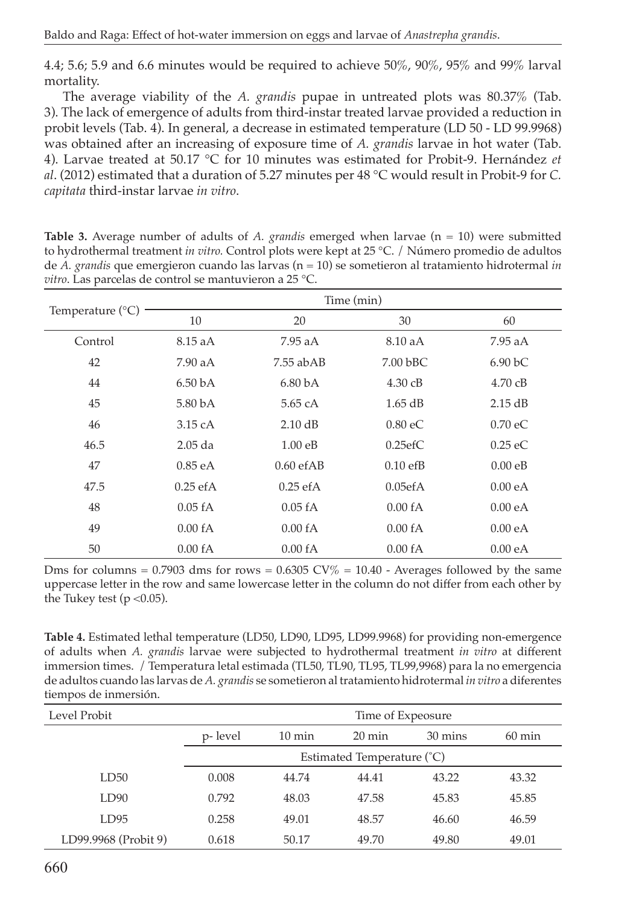4.4; 5.6; 5.9 and 6.6 minutes would be required to achieve 50%, 90%, 95% and 99% larval mortality.

The average viability of the *A. grandis* pupae in untreated plots was 80.37% (Tab. 3). The lack of emergence of adults from third-instar treated larvae provided a reduction in probit levels (Tab. 4). In general, a decrease in estimated temperature (LD 50 - LD 99.9968) was obtained after an increasing of exposure time of *A. grandis* larvae in hot water (Tab. 4). Larvae treated at 50.17 °C for 10 minutes was estimated for Probit-9. Hernández *et al*. (2012) estimated that a duration of 5.27 minutes per 48 °C would result in Probit-9 for *C. capitata* third-instar larvae *in vitro*.

| <b>Table 3.</b> Average number of adults of A. grandis emerged when larvae $(n = 10)$ were submitted    |
|---------------------------------------------------------------------------------------------------------|
| to hydrothermal treatment in vitro. Control plots were kept at 25 °C. / Número promedio de adultos      |
| de A. grandis que emergieron cuando las larvas ( $n = 10$ ) se sometieron al tratamiento hidrotermal in |
| <i>vitro</i> . Las parcelas de control se mantuvieron a 25 °C.                                          |

|                           | Time (min)          |                     |                   |                     |  |  |
|---------------------------|---------------------|---------------------|-------------------|---------------------|--|--|
| Temperature $(^{\circ}C)$ | 10                  | 20                  | 30                | 60                  |  |  |
| Control                   | 8.15 aA             | $7.95$ aA           | $8.10\text{ aA}$  | $7.95$ aA           |  |  |
| 42                        | 7.90 aA             | $7.55$ ab $AB$      | $7.00$ bBC        | 6.90 <sub>b</sub> C |  |  |
| 44                        | $6.50\,\mathrm{bA}$ | $6.80\,\mathrm{bA}$ | $4.30 \text{ }cB$ | $4.70 \text{ }cB$   |  |  |
| 45                        | 5.80 bA             | 5.65 cA             | $1.65$ dB         | 2.15 dB             |  |  |
| 46                        | $3.15 \text{ cA}$   | $2.10$ dB           | $0.80$ eC         | $0.70$ eC           |  |  |
| 46.5                      | $2.05$ da           | 1.00 eB             | 0.25efC           | $0.25$ eC           |  |  |
| 47                        | $0.85$ eA           | $0.60$ ef AB        | $0.10$ efB        | 0.00 eB             |  |  |
| 47.5                      | $0.25$ ef A         | $0.25$ ef A         | 0.05efA           | 0.00eA              |  |  |
| 48                        | $0.05$ fA           | 0.05fA              | 0.00 fA           | 0.00eA              |  |  |
| 49                        | 0.00 fA             | 0.00 fA             | 0.00 fA           | 0.00eA              |  |  |
| 50                        | 0.00 fA             | 0.00 fA             | 0.00 fA           | 0.00eA              |  |  |

Dms for columns =  $0.7903$  dms for rows =  $0.6305$  CV% =  $10.40$  - Averages followed by the same uppercase letter in the row and same lowercase letter in the column do not differ from each other by the Tukey test ( $p < 0.05$ ).

**Table 4.** Estimated lethal temperature (LD50, LD90, LD95, LD99.9968) for providing non-emergence of adults when *A. grandis* larvae were subjected to hydrothermal treatment *in vitro* at different immersion times. / Temperatura letal estimada (TL50, TL90, TL95, TL99,9968) para la no emergencia de adultos cuando las larvas de *A. grandis* se sometieron al tratamiento hidrotermal *in vitro* a diferentes tiempos de inmersión.

| Level Probit         |         | Time of Expeosure   |                            |         |                  |  |
|----------------------|---------|---------------------|----------------------------|---------|------------------|--|
|                      | p-level | $10 \,\mathrm{min}$ | $20 \text{ min}$           | 30 mins | $60 \text{ min}$ |  |
|                      |         |                     | Estimated Temperature (°C) |         |                  |  |
| LD50                 | 0.008   | 44.74               | 44.41                      | 43.22   | 43.32            |  |
| LD90                 | 0.792   | 48.03               | 47.58                      | 45.83   | 45.85            |  |
| LD95                 | 0.258   | 49.01               | 48.57                      | 46.60   | 46.59            |  |
| LD99.9968 (Probit 9) | 0.618   | 50.17               | 49.70                      | 49.80   | 49.01            |  |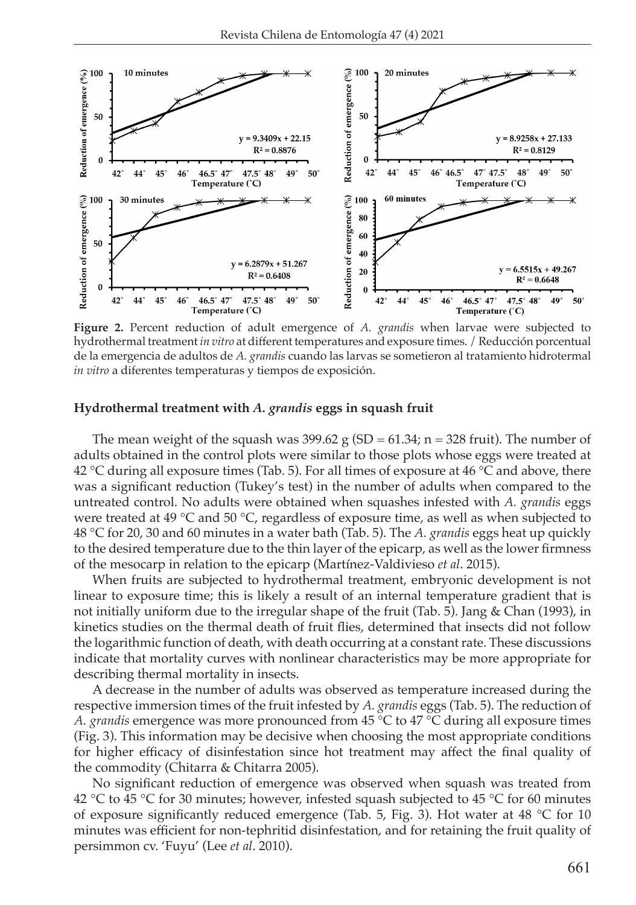

**Figure 2.** Percent reduction of adult emergence of *A. grandis* when larvae were subjected to hydrothermal treatment *in vitro* at different temperatures and exposure times. / Reducción porcentual de la emergencia de adultos de *A. grandis* cuando las larvas se sometieron al tratamiento hidrotermal *in vitro* a diferentes temperaturas y tiempos de exposición.

### **Hydrothermal treatment with** *A. grandis* **eggs in squash fruit**

The mean weight of the squash was  $399.62$  g (SD =  $61.34$ ; n = 328 fruit). The number of adults obtained in the control plots were similar to those plots whose eggs were treated at 42 °C during all exposure times (Tab. 5). For all times of exposure at 46 °C and above, there was a significant reduction (Tukey's test) in the number of adults when compared to the untreated control. No adults were obtained when squashes infested with *A. grandis* eggs were treated at 49  $^{\circ}$ C and 50  $^{\circ}$ C, regardless of exposure time, as well as when subjected to 48 °C for 20, 30 and 60 minutes in a water bath (Tab. 5). The *A. grandis* eggs heat up quickly to the desired temperature due to the thin layer of the epicarp, as well as the lower firmness of the mesocarp in relation to the epicarp (Martínez-Valdivieso *et al*. 2015).

When fruits are subjected to hydrothermal treatment, embryonic development is not linear to exposure time; this is likely a result of an internal temperature gradient that is not initially uniform due to the irregular shape of the fruit (Tab. 5). Jang & Chan (1993), in kinetics studies on the thermal death of fruit flies, determined that insects did not follow the logarithmic function of death, with death occurring at a constant rate. These discussions indicate that mortality curves with nonlinear characteristics may be more appropriate for describing thermal mortality in insects.

A decrease in the number of adults was observed as temperature increased during the respective immersion times of the fruit infested by *A. grandis* eggs (Tab. 5). The reduction of *A. grandis* emergence was more pronounced from 45 °C to 47 °C during all exposure times (Fig. 3). This information may be decisive when choosing the most appropriate conditions for higher efficacy of disinfestation since hot treatment may affect the final quality of the commodity (Chitarra & Chitarra 2005).

No significant reduction of emergence was observed when squash was treated from 42 °C to 45 °C for 30 minutes; however, infested squash subjected to 45 °C for 60 minutes of exposure significantly reduced emergence (Tab. 5, Fig. 3). Hot water at 48 °C for 10 minutes was efficient for non-tephritid disinfestation, and for retaining the fruit quality of persimmon cv. 'Fuyu' (Lee *et al*. 2010).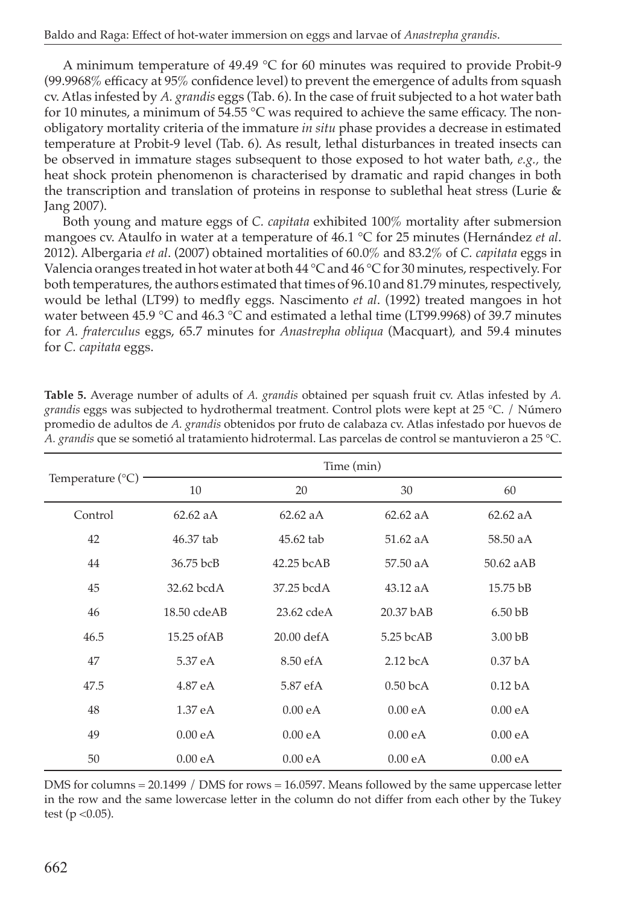A minimum temperature of 49.49 °C for 60 minutes was required to provide Probit-9 (99.9968% efficacy at 95% confidence level) to prevent the emergence of adults from squash cv. Atlas infested by *A. grandis* eggs (Tab. 6). In the case of fruit subjected to a hot water bath for 10 minutes, a minimum of 54.55  $\degree$ C was required to achieve the same efficacy. The nonobligatory mortality criteria of the immature *in situ* phase provides a decrease in estimated temperature at Probit-9 level (Tab. 6). As result, lethal disturbances in treated insects can be observed in immature stages subsequent to those exposed to hot water bath, *e.g.,* the heat shock protein phenomenon is characterised by dramatic and rapid changes in both the transcription and translation of proteins in response to sublethal heat stress (Lurie & Jang 2007).

Both young and mature eggs of *C. capitata* exhibited 100% mortality after submersion mangoes cv. Ataulfo in water at a temperature of 46.1 °C for 25 minutes (Hernández *et al*. 2012). Albergaria *et al*. (2007) obtained mortalities of 60.0% and 83.2% of *C. capitata* eggs in Valencia oranges treated in hot water at both 44 °C and 46 °C for 30 minutes, respectively. For both temperatures, the authors estimated that times of 96.10 and 81.79 minutes, respectively, would be lethal (LT99) to medfly eggs. Nascimento *et al*. (1992) treated mangoes in hot water between 45.9 °C and 46.3 °C and estimated a lethal time (LT99.9968) of 39.7 minutes for *A. fraterculus* eggs, 65.7 minutes for *Anastrepha obliqua* (Macquart)*,* and 59.4 minutes for *C. capitata* eggs.

|                           | Time (min)       |             |                    |                    |  |  |
|---------------------------|------------------|-------------|--------------------|--------------------|--|--|
| Temperature $(^{\circ}C)$ | 10               | 20          | 30                 | 60                 |  |  |
| Control                   | $62.62$ aA       | $62.62$ aA  | $62.62$ aA         | $62.62$ aA         |  |  |
| 42                        | 46.37 tab        | $45.62$ tab | 51.62 aA           | 58.50 aA           |  |  |
| 44                        | 36.75 bcB        | 42.25 bcAB  | 57.50 aA           | 50.62 aAB          |  |  |
| 45                        | 32.62 bcdA       | 37.25 bcdA  | $43.12 \text{ aA}$ | 15.75 bB           |  |  |
| 46                        | $18.50$ cde $AB$ | 23.62 cdeA  | 20.37 bAB          | $6.50$ bB          |  |  |
| 46.5                      | 15.25 of AB      | 20.00 defA  | 5.25 bcAB          | 3.00 <sub>bB</sub> |  |  |
| 47                        | 5.37 eA          | 8.50 efA    | $2.12$ bcA         | 0.37 <sub>bA</sub> |  |  |
| 47.5                      | 4.87 eA          | 5.87 efA    | $0.50$ bcA         | 0.12 <sub>bA</sub> |  |  |
| 48                        | 1.37 eA          | 0.00 eA     | 0.00eA             | 0.00eA             |  |  |
| 49                        | 0.00eA           | 0.00 eA     | 0.00eA             | 0.00 eA            |  |  |
| 50                        | 0.00 eA          | 0.00 eA     | 0.00 eA            | 0.00eA             |  |  |

**Table 5.** Average number of adults of *A. grandis* obtained per squash fruit cv. Atlas infested by *A. grandis* eggs was subjected to hydrothermal treatment. Control plots were kept at 25 °C. / Número promedio de adultos de *A. grandis* obtenidos por fruto de calabaza cv. Atlas infestado por huevos de *A. grandis* que se sometió al tratamiento hidrotermal. Las parcelas de control se mantuvieron a 25 °C.

DMS for columns = 20.1499 / DMS for rows = 16.0597. Means followed by the same uppercase letter in the row and the same lowercase letter in the column do not differ from each other by the Tukey test ( $p < 0.05$ ).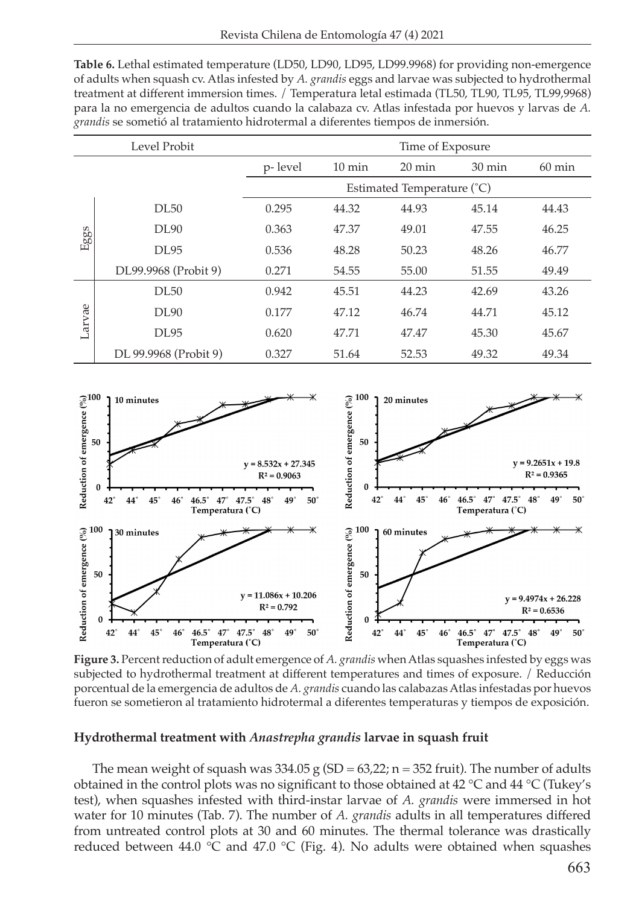**Table 6.** Lethal estimated temperature (LD50, LD90, LD95, LD99.9968) for providing non-emergence of adults when squash cv. Atlas infested by *A. grandis* eggs and larvae was subjected to hydrothermal treatment at different immersion times. / Temperatura letal estimada (TL50, TL90, TL95, TL99,9968) para la no emergencia de adultos cuando la calabaza cv. Atlas infestada por huevos y larvas de *A. grandis* se sometió al tratamiento hidrotermal a diferentes tiempos de inmersión.

| Level Probit |                       | Time of Exposure           |                  |                  |                  |                  |  |
|--------------|-----------------------|----------------------------|------------------|------------------|------------------|------------------|--|
|              |                       | p-level                    | $10 \text{ min}$ | $20 \text{ min}$ | $30 \text{ min}$ | $60 \text{ min}$ |  |
|              |                       | Estimated Temperature (°C) |                  |                  |                  |                  |  |
| Eggs         | DL50                  | 0.295                      | 44.32            | 44.93            | 45.14            | 44.43            |  |
|              | DL90                  | 0.363                      | 47.37            | 49.01            | 47.55            | 46.25            |  |
|              | DL95                  | 0.536                      | 48.28            | 50.23            | 48.26            | 46.77            |  |
|              | DL99.9968 (Probit 9)  | 0.271                      | 54.55            | 55.00            | 51.55            | 49.49            |  |
| arvae        | DL50                  | 0.942                      | 45.51            | 44.23            | 42.69            | 43.26            |  |
|              | DL90                  | 0.177                      | 47.12            | 46.74            | 44.71            | 45.12            |  |
|              | DL95                  | 0.620                      | 47.71            | 47.47            | 45.30            | 45.67            |  |
|              | DL 99.9968 (Probit 9) | 0.327                      | 51.64            | 52.53            | 49.32            | 49.34            |  |



**Figure 3.** Percent reduction of adult emergence of *A. grandis* when Atlas squashes infested by eggs was subjected to hydrothermal treatment at different temperatures and times of exposure. / Reducción porcentual de la emergencia de adultos de *A. grandis* cuando las calabazas Atlas infestadas por huevos fueron se sometieron al tratamiento hidrotermal a diferentes temperaturas y tiempos de exposición.

## **Hydrothermal treatment with** *Anastrepha grandis* **larvae in squash fruit**

The mean weight of squash was  $334.05$  g (SD = 63,22; n = 352 fruit). The number of adults obtained in the control plots was no significant to those obtained at 42  $^{\circ}$ C and 44  $^{\circ}$ C (Tukey's test), when squashes infested with third-instar larvae of *A. grandis* were immersed in hot water for 10 minutes (Tab. 7). The number of *A. grandis* adults in all temperatures differed from untreated control plots at 30 and 60 minutes. The thermal tolerance was drastically reduced between 44.0  $\degree$ C and 47.0  $\degree$ C (Fig. 4). No adults were obtained when squashes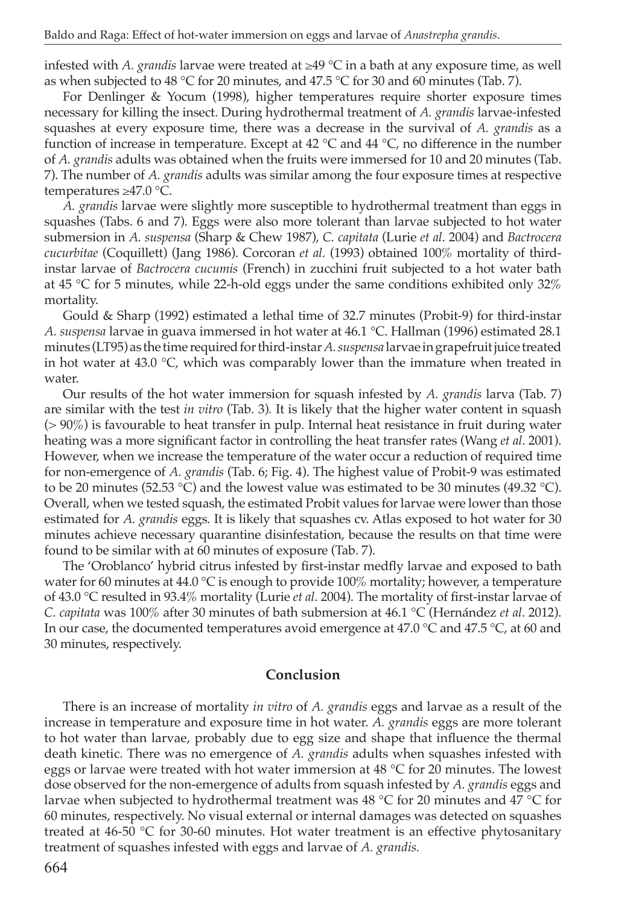infested with *A. grandis* larvae were treated at ≥49 °C in a bath at any exposure time, as well as when subjected to 48 °C for 20 minutes, and 47.5 °C for 30 and 60 minutes (Tab. 7).

For Denlinger & Yocum (1998), higher temperatures require shorter exposure times necessary for killing the insect. During hydrothermal treatment of *A. grandis* larvae-infested squashes at every exposure time, there was a decrease in the survival of *A. grandis* as a function of increase in temperature. Except at 42  $^{\circ}$ C and 44  $^{\circ}$ C, no difference in the number of *A. grandis* adults was obtained when the fruits were immersed for 10 and 20 minutes (Tab. 7). The number of *A. grandis* adults was similar among the four exposure times at respective temperatures ≥47.0 °C.

*A. grandis* larvae were slightly more susceptible to hydrothermal treatment than eggs in squashes (Tabs. 6 and 7). Eggs were also more tolerant than larvae subjected to hot water submersion in *A. suspensa* (Sharp & Chew 1987), *C. capitata* (Lurie *et al*. 2004) and *Bactrocera cucurbitae* (Coquillett) (Jang 1986). Corcoran *et al.* (1993) obtained 100% mortality of thirdinstar larvae of *Bactrocera cucumis* (French) in zucchini fruit subjected to a hot water bath at 45 °C for 5 minutes, while 22-h-old eggs under the same conditions exhibited only  $32\%$ mortality.

Gould & Sharp (1992) estimated a lethal time of 32.7 minutes (Probit-9) for third-instar *A. suspensa* larvae in guava immersed in hot water at 46.1 °C. Hallman (1996) estimated 28.1 minutes (LT95) as the time required for third-instar *A. suspensa* larvae ingrapefruitjuice treated in hot water at 43.0 °C, which was comparably lower than the immature when treated in water.

Our results of the hot water immersion for squash infested by *A. grandis* larva (Tab. 7) are similar with the test *in vitro* (Tab. 3)*.* It is likely that the higher water content in squash (> 90%) is favourable to heat transfer in pulp. Internal heat resistance in fruit during water heating was a more significant factor in controlling the heat transfer rates (Wang *et al*. 2001). However, when we increase the temperature of the water occur a reduction of required time for non-emergence of *A. grandis* (Tab. 6; Fig. 4). The highest value of Probit-9 was estimated to be 20 minutes (52.53 °C) and the lowest value was estimated to be 30 minutes (49.32 °C). Overall, when we tested squash, the estimated Probit values for larvae were lower than those estimated for *A. grandis* eggs*.* It is likely that squashes cv. Atlas exposed to hot water for 30 minutes achieve necessary quarantine disinfestation, because the results on that time were found to be similar with at 60 minutes of exposure (Tab. 7).

The 'Oroblanco' hybrid citrus infested by first-instar medfly larvae and exposed to bath water for 60 minutes at 44.0  $\degree$ C is enough to provide 100% mortality; however, a temperature of 43.0 °C resulted in 93.4% mortality (Lurie *et al*. 2004). The mortality of first-instar larvae of *C. capitata* was 100% after 30 minutes of bath submersion at 46.1 °C (Hernández *et al*. 2012). In our case, the documented temperatures avoid emergence at 47.0  $^{\circ}$ C and 47.5  $^{\circ}$ C, at 60 and 30 minutes, respectively.

## **Conclusion**

There is an increase of mortality *in vitro* of *A. grandis* eggs and larvae as a result of the increase in temperature and exposure time in hot water. *A. grandis* eggs are more tolerant to hot water than larvae, probably due to egg size and shape that influence the thermal death kinetic. There was no emergence of *A. grandis* adults when squashes infested with eggs or larvae were treated with hot water immersion at 48 °C for 20 minutes. The lowest dose observed for the non-emergence of adults from squash infested by *A. grandis* eggs and larvae when subjected to hydrothermal treatment was 48  $\degree$ C for 20 minutes and 47  $\degree$ C for 60 minutes, respectively. No visual external or internal damages was detected on squashes treated at 46-50 °C for 30-60 minutes. Hot water treatment is an effective phytosanitary treatment of squashes infested with eggs and larvae of *A. grandis.*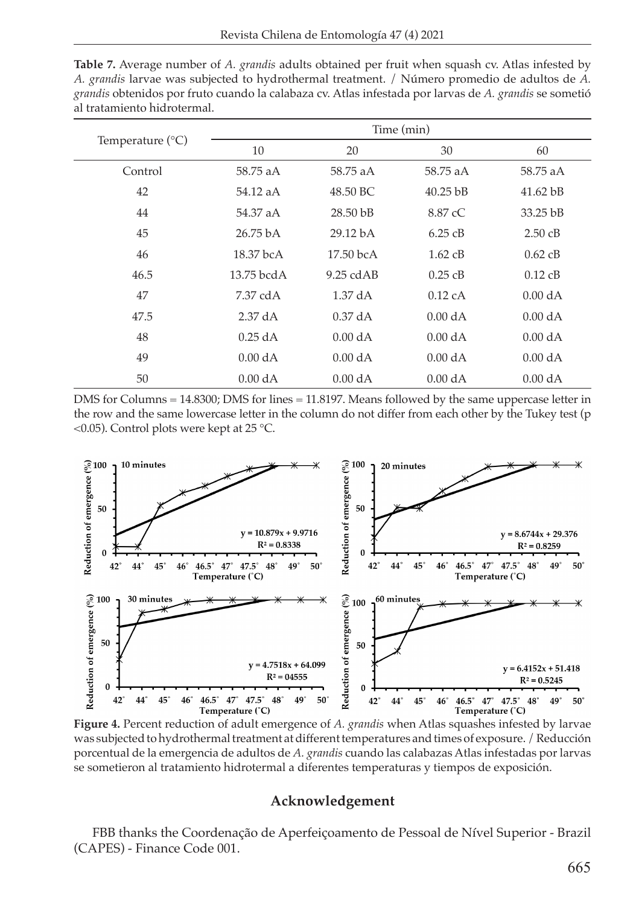|                           | Time (min)           |                             |            |                   |  |  |  |
|---------------------------|----------------------|-----------------------------|------------|-------------------|--|--|--|
| Temperature $(^{\circ}C)$ | 10                   | 20                          | 30         | 60                |  |  |  |
| Control                   | 58.75 aA             | 58.75 aA                    | 58.75 aA   | 58.75 aA          |  |  |  |
| 42                        | 54.12 a A            | 48.50 BC.                   | $40.25$ bB | $41.62$ bB        |  |  |  |
| 44                        | 54.37 a A            | $28.50$ bB                  | 8.87 cC    | 33.25 bB          |  |  |  |
| 45                        | $26.75\,\mathrm{b}A$ | 29.12 bA                    | $6.25$ cB  | $2.50 \text{ }cB$ |  |  |  |
| 46                        | $18.37$ bcA          | $17.50 \text{~bc}$ A        | $1.62$ cB  | $0.62$ cB         |  |  |  |
| 46.5                      | $13.75$ bcdA         | $9.25 \text{ cd} \text{AB}$ | $0.25$ cB  | $0.12$ cB         |  |  |  |
| 47                        | 7.37 cd A            | $1.37 \text{ dA}$           | $0.12$ cA  | 0.00 dA           |  |  |  |
| 47.5                      | $2.37 \text{ dA}$    | $0.37$ dA                   | 0.00 dA    | 0.00 dA           |  |  |  |
| 48                        | $0.25$ dA            | 0.00 dA                     | 0.00 dA    | 0.00 dA           |  |  |  |
| 49                        | 0.00 dA              | 0.00 dA                     | 0.00 dA    | 0.00 dA           |  |  |  |
| 50                        | 0.00 dA              | 0.00 dA                     | 0.00 dA    | 0.00 dA           |  |  |  |

**Table 7.** Average number of *A. grandis* adults obtained per fruit when squash cv. Atlas infested by *A. grandis* larvae was subjected to hydrothermal treatment. / Número promedio de adultos de *A. grandis* obtenidos por fruto cuando la calabaza cv. Atlas infestada por larvas de *A. grandis* se sometió al tratamiento hidrotermal.

DMS for Columns = 14.8300; DMS for lines = 11.8197. Means followed by the same uppercase letter in the row and the same lowercase letter in the column do not differ from each other by the Tukey test (p <0.05). Control plots were kept at 25 °C.



**Figure 4.** Percent reduction of adult emergence of *A. grandis* when Atlas squashes infested by larvae was subjected to hydrothermal treatment at different temperatures and times of exposure. / Reducción porcentual de la emergencia de adultos de *A. grandis* cuando las calabazas Atlas infestadas por larvas se sometieron al tratamiento hidrotermal a diferentes temperaturas y tiempos de exposición.

## **Acknowledgement**

FBB thanks the Coordenação de Aperfeiçoamento de Pessoal de Nível Superior - Brazil (CAPES) - Finance Code 001.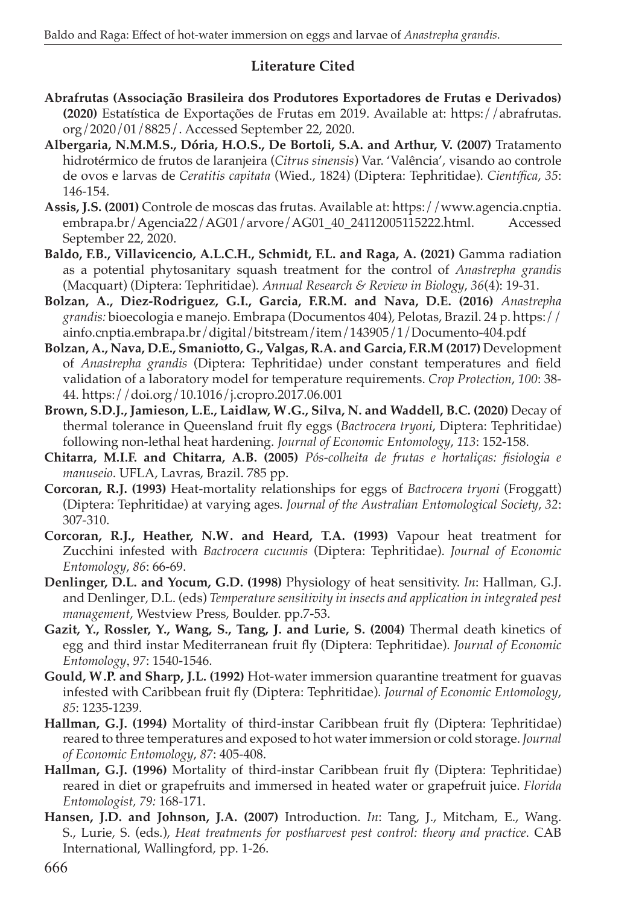# **Literature Cited**

- **Abrafrutas (Associação Brasileira dos Produtores Exportadores de Frutas e Derivados) (2020)** Estatística de Exportações de Frutas em 2019. Available at: [https://abrafrutas.](https://abrafrutas.org/2020/01/8825/) [org/2020/01/8825/](https://abrafrutas.org/2020/01/8825/). Accessed September 22, 2020.
- **Albergaria, N.M.M.S., Dória, H.O.S., De Bortoli, S.A. and Arthur, V. (2007)** Tratamento hidrotérmico de frutos de laranjeira (*Citrus sinensis*) Var. 'Valência', visando ao controle de ovos e larvas de *Ceratitis capitata* (Wied., 1824) (Diptera: Tephritidae). *Científica*, *35*: 146-154.
- **Assis, J.S. (2001)** Controle de moscas das frutas. Available at: [https://www.agencia.cnptia.](https://www.agencia.cnptia.embrapa.br/Agencia22/AG01/arvore/AG01_40_24112005115222.html) [embrapa.br/Agencia22/AG01/arvore/AG01\\_40\\_24112005115222.html](https://www.agencia.cnptia.embrapa.br/Agencia22/AG01/arvore/AG01_40_24112005115222.html). Accessed September 22, 2020.
- **Baldo, F.B., Villavicencio, A.L.C.H., Schmidt, F.L. and Raga, A. (2021)** Gamma radiation as a potential phytosanitary squash treatment for the control of *Anastrepha grandis* (Macquart) (Diptera: Tephritidae). *Annual Research & Review in Biology*, *36*(4): 19-31.
- **Bolzan, A., Diez-Rodriguez, G.I., Garcia, F.R.M. and Nava, D.E. (2016)** *Anastrepha grandis:* bioecologia e manejo. Embrapa (Documentos 404), Pelotas, Brazil. 24 p. [https://](https://ainfo.cnptia.embrapa.br/digital/ bitstream/item/143905/1/ Documento-404.pdf) [ainfo.cnptia.embrapa.br/digital/bitstream/item/143905/1/Documento-404.pdf](https://ainfo.cnptia.embrapa.br/digital/ bitstream/item/143905/1/ Documento-404.pdf)
- **Bolzan, A., Nava, D.E., Smaniotto, G., Valgas, R.A. and Garcia, F.R.M (2017)** Development of *Anastrepha grandis* (Diptera: Tephritidae) under constant temperatures and field validation of a laboratory model for temperature requirements. *Crop Protection*, *100*: 38- 44.<https://doi.org/10.1016/j.cropro.2017.06.001>
- **Brown, S.D.J., Jamieson, L.E., Laidlaw, W.G., Silva, N. and Waddell, B.C. (2020)** Decay of thermal tolerance in Queensland fruit fly eggs (*Bactrocera tryoni*, Diptera: Tephritidae) following non-lethal heat hardening. *Journal of Economic Entomology*, *113*: 152-158.
- **Chitarra, M.I.F. and Chitarra, A.B. (2005)** *Pós-colheita de frutas e hortaliças: fisiologia e manuseio*. UFLA, Lavras, Brazil. 785 pp.
- **Corcoran, R.J. (1993)** Heat-mortality relationships for eggs of *Bactrocera tryoni* (Froggatt) (Diptera: Tephritidae) at varying ages. *Journal of the Australian Entomological Society*, *32*: 307-310.
- **Corcoran, R.J., Heather, N.W. and Heard, T.A. (1993)** Vapour heat treatment for Zucchini infested with *Bactrocera cucumis* (Diptera: Tephritidae). *Journal of Economic Entomology*, *86*: 66-69.
- **Denlinger, D.L. and Yocum, G.D. (1998)** Physiology of heat sensitivity. *In*: Hallman*,* G.J. and Denlinger*,* D.L. (eds) *Temperature sensitivity in insects and application in integrated pest management*, Westview Press, Boulder. pp.7-53.
- **Gazit, Y., Rossler, Y., Wang, S., Tang, J. and Lurie, S. (2004)** Thermal death kinetics of egg and third instar Mediterranean fruit fly (Diptera: Tephritidae). *Journal of Economic Entomology*, *97*: 1540-1546.
- **Gould, W.P. and Sharp, J.L. (1992)** Hot-water immersion quarantine treatment for guavas infested with Caribbean fruit fly (Diptera: Tephritidae). *Journal of Economic Entomology*, *85*: 1235-1239.
- **Hallman, G.J. (1994)** Mortality of third-instar Caribbean fruit fly (Diptera: Tephritidae) reared to three temperatures and exposed to hot water immersion or cold storage.*Journal of Economic Entomology*, *87*: 405-408.
- **Hallman, G.J. (1996)** Mortality of third-instar Caribbean fruit fly (Diptera: Tephritidae) reared in diet or grapefruits and immersed in heated water or grapefruit juice. *Florida Entomologist, 79:* 168-171.
- **Hansen, J.D. and Johnson, J.A. (2007)** Introduction. *In*: Tang, J., Mitcham, E., Wang. S., Lurie, S. (eds.), *Heat treatments for postharvest pest control: theory and practice*. CAB International, Wallingford, pp. 1-26.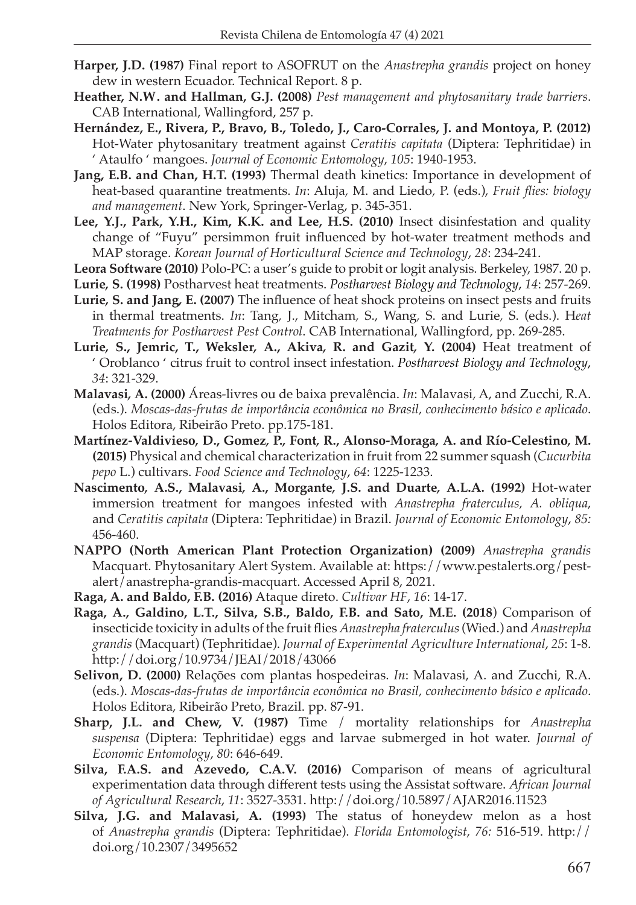- **Harper, J.D. (1987)** Final report to ASOFRUT on the *Anastrepha grandis* project on honey dew in western Ecuador. Technical Report. 8 p.
- **Heather, N.W. and Hallman, G.J. (2008)** *Pest management and phytosanitary trade barriers*. CAB International, Wallingford, 257 p.
- **Hernández, E., Rivera, P., Bravo, B., Toledo, J., Caro-Corrales, J. and Montoya, P. (2012)** Hot-Water phytosanitary treatment against *Ceratitis capitata* (Diptera: Tephritidae) in ' Ataulfo ' mangoes. *Journal of Economic Entomology*, *105*: 1940-1953.
- **Jang, E.B. and Chan, H.T. (1993)** Thermal death kinetics: Importance in development of heat-based quarantine treatments. *In*: Aluja*,* M. and Liedo*,* P. (eds.), *Fruit flies: biology and management*. New York, Springer-Verlag, p. 345-351.
- **Lee, Y.J., Park, Y.H., Kim, K.K. and Lee, H.S. (2010)** Insect disinfestation and quality change of "Fuyu" persimmon fruit influenced by hot-water treatment methods and MAP storage. *Korean Journal of Horticultural Science and Technology*, *28*: 234-241.
- **Leora Software (2010)** Polo-PC: a user's guide to probit or logit analysis. Berkeley, 1987. 20 p.
- **Lurie***,* **S. (1998)** Postharvest heat treatments. *Postharvest Biology and Technology*, *14*: 257-269.
- **Lurie***,* **S. and Jang***,* **E. (2007)** The influence of heat shock proteins on insect pests and fruits in thermal treatments. *In*: Tang*,* J., Mitcham*,* S., Wang*,* S. and Lurie*,* S. (eds.). H*eat Treatments for Postharvest Pest Control*. CAB International, Wallingford, pp. 269-285.
- **Lurie***,* **S., Jemric, T., Weksler***,* **A., Akiva***,* **R. and Gazit***,* **Y. (2004)** Heat treatment of ' Oroblanco ' citrus fruit to control insect infestation. *Postharvest Biology and Technology*, *34*: 321-329.
- **Malavasi***,* **A. (2000)** Áreas-livres ou de baixa prevalência. *In*: Malavasi*,* A, and Zucchi*,* R.A. (eds.). *Moscas-das-frutas de importância econômica no Brasil, conhecimento básico e aplicado*. Holos Editora, Ribeirão Preto. pp.175-181.
- **Martínez-Valdivieso***,* **D., Gomez***,* **P.***,* **Font***,* **R., Alonso-Moraga***,* **A. and Río-Celestino***,* **M. (2015)** Physical and chemical characterization in fruit from 22 summer squash (*Cucurbita pepo* L.) cultivars. *Food Science and Technology*, *64*: 1225-1233.
- **Nascimento***,* **A.S., Malavasi***,* **A., Morgante***,* **J.S. and Duarte***,* **A.L.A. (1992)** Hot-water immersion treatment for mangoes infested with *Anastrepha fraterculus, A. obliqua*, and *Ceratitis capitata* (Diptera: Tephritidae) in Brazil. *Journal of Economic Entomology*, *85:* 456-460.
- **NAPPO (North American Plant Protection Organization) (2009)** *Anastrepha grandis*  Macquart. Phytosanitary Alert System. Available at: [https://www.pestalerts.org/pest](https://www.pestalerts.org/pest-alert/anastrepha-grandis-macquart)[alert/anastrepha-grandis-macquart.](https://www.pestalerts.org/pest-alert/anastrepha-grandis-macquart) Accessed April 8, 2021.
- **Raga, A. and Baldo, F.B. (2016)** Ataque direto. *Cultivar HF*, *16*: 14-17.
- **Raga, A., Galdino, L.T., Silva, S.B., Baldo, F.B. and Sato, M.E. (2018**) Comparison of insecticide toxicity in adults of the fruit flies *Anastrepha fraterculus* (Wied.) and *Anastrepha grandis* (Macquart) (Tephritidae). *Journal of Experimental Agriculture International*, *25*: 1-8. <http://doi.org/10.9734/JEAI/2018/43066>
- **Selivon, D. (2000)** Relações com plantas hospedeiras. *In*: Malavasi, A. and Zucchi, R.A. (eds.). *Moscas-das-frutas de importância econômica no Brasil, conhecimento básico e aplicado*. Holos Editora, Ribeirão Preto, Brazil. pp. 87-91.
- **Sharp, J.L. and Chew, V. (1987)** Time / mortality relationships for *Anastrepha suspensa* (Diptera: Tephritidae) eggs and larvae submerged in hot water. *Journal of Economic Entomology*, *80*: 646-649.
- **Silva, F.A.S. and Azevedo, C.A.V. (2016)** Comparison of means of agricultural experimentation data through different tests using the Assistat software. *African Journal of Agricultural Research*, *11*: 3527-3531. <http://doi.org/10.5897/AJAR2016.11523>
- **Silva, J.G. and Malavasi, A. (1993)** The status of honeydew melon as a host of *Anastrepha grandis* (Diptera: Tephritidae). *Florida Entomologist*, *76:* 516-519. [http://](http://doi.org/10.2307/3495652) [doi.org/10.2307/3495652](http://doi.org/10.2307/3495652)